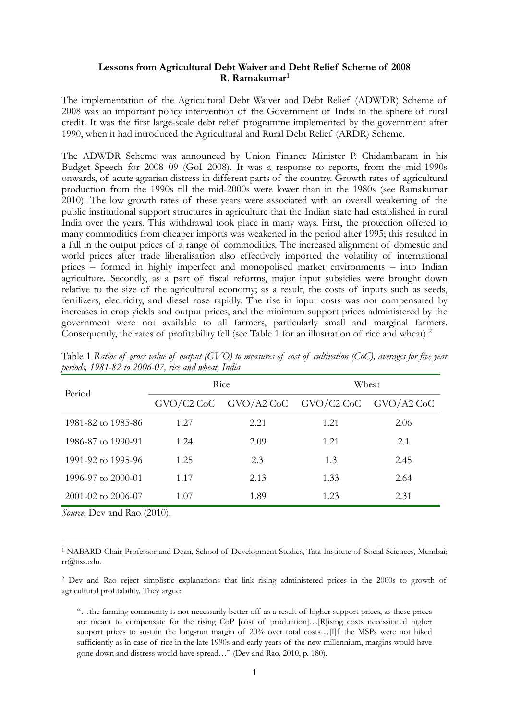### <span id="page-0-2"></span>**Lessons from Agricultural Debt Waiver and Debt Relief Scheme of 2008 R. Ramakumar[1](#page-0-0)**

The implementation of the Agricultural Debt Waiver and Debt Relief (ADWDR) Scheme of 2008 was an important policy intervention of the Government of India in the sphere of rural credit. It was the first large-scale debt relief programme implemented by the government after 1990, when it had introduced the Agricultural and Rural Debt Relief (ARDR) Scheme.

The ADWDR Scheme was announced by Union Finance Minister P. Chidambaram in his Budget Speech for 2008–09 (GoI 2008). It was a response to reports, from the mid-1990s onwards, of acute agrarian distress in different parts of the country. Growth rates of agricultural production from the 1990s till the mid-2000s were lower than in the 1980s (see Ramakumar 2010). The low growth rates of these years were associated with an overall weakening of the public institutional support structures in agriculture that the Indian state had established in rural India over the years. This withdrawal took place in many ways. First, the protection offered to many commodities from cheaper imports was weakened in the period after 1995; this resulted in a fall in the output prices of a range of commodities. The increased alignment of domestic and world prices after trade liberalisation also effectively imported the volatility of international prices – formed in highly imperfect and monopolised market environments – into Indian agriculture. Secondly, as a part of fiscal reforms, major input subsidies were brought down relative to the size of the agricultural economy; as a result, the costs of inputs such as seeds, fertilizers, electricity, and diesel rose rapidly. The rise in input costs was not compensated by increases in crop yields and output prices, and the minimum support prices administered by the government were not available to all farmers, particularly small and marginal farmers. Consequently, the rates of profitability fell (see Table 1 for an illustration of rice and wheat).<sup>[2](#page-0-1)</sup>

<span id="page-0-3"></span>

| Period                     | Rice |                                                     | Wheat |      |
|----------------------------|------|-----------------------------------------------------|-------|------|
|                            |      | $GVO/C2$ CoC $GVO/A2$ CoC $GVO/C2$ CoC $GVO/A2$ CoC |       |      |
| 1981-82 to 1985-86         | 1.27 | 2.21                                                | 1.21  | 2.06 |
| 1986-87 to 1990-91         | 1.24 | 2.09                                                | 1.21  | 2.1  |
| 1991-92 to 1995-96         | 1.25 | 2.3                                                 | 1.3   | 2.45 |
| 1996-97 to $2000-01$       | 1.17 | 2.13                                                | 1.33  | 2.64 |
| $2001 - 02$ to $2006 - 07$ | 1.07 | 1.89                                                | 1.23  | 2.31 |

Table 1 *Ratios of gross value of output (GVO) to measures of cost of cultivation (CoC), averages for five year periods, 1981-82 to 2006-07, rice and wheat, India* 

*Source*: Dev and Rao (2010).

<span id="page-0-0"></span><sup>&</sup>lt;sup>[1](#page-0-2)</sup> NABARD Chair Professor and Dean, School of Development Studies, Tata Institute of Social Sciences, Mumbai; rr@tiss.edu.

<span id="page-0-1"></span><sup>&</sup>lt;sup>[2](#page-0-3)</sup> Dev and Rao reject simplistic explanations that link rising administered prices in the 2000s to growth of agricultural profitability. They argue:

<sup>&</sup>quot;…the farming community is not necessarily better off as a result of higher support prices, as these prices are meant to compensate for the rising CoP [cost of production]…[R]ising costs necessitated higher support prices to sustain the long-run margin of 20% over total costs... [I]f the MSPs were not hiked sufficiently as in case of rice in the late 1990s and early years of the new millennium, margins would have gone down and distress would have spread…" (Dev and Rao, 2010, p. 180).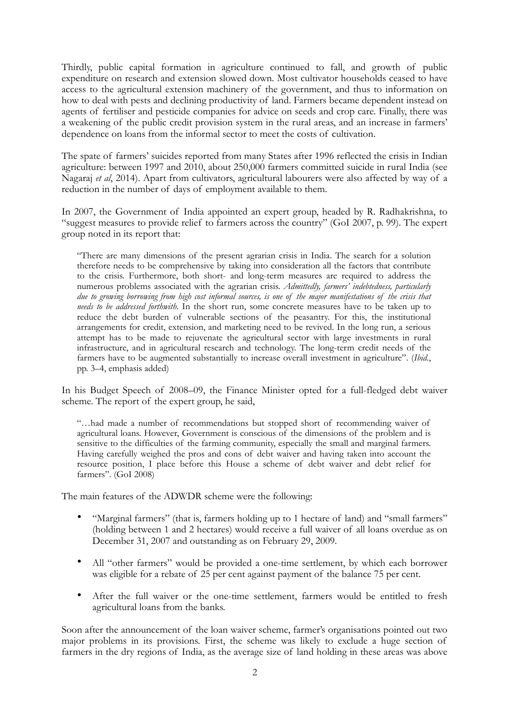Thirdly, public capital formation in agriculture continued to fall, and growth of public expenditure on research and extension slowed down. Most cultivator households ceased to have access to the agricultural extension machinery of the government, and thus to information on how to deal with pests and declining productivity of land. Farmers became dependent instead on agents of fertiliser and pesticide companies for advice on seeds and crop care. Finally, there was a weakening of the public credit provision system in the rural areas, and an increase in farmers' dependence on loans from the informal sector to meet the costs of cultivation.

The spate of farmers' suicides reported from many States after 1996 reflected the crisis in Indian agriculture: between 1997 and 2010, about 250,000 farmers committed suicide in rural India (see Nagaraj *et al*, 2014). Apart from cultivators, agricultural labourers were also affected by way of a reduction in the number of days of employment available to them.

In 2007, the Government of India appointed an expert group, headed by R. Radhakrishna, to "suggest measures to provide relief to farmers across the country" (GoI 2007, p. 99). The expert group noted in its report that:

"There are many dimensions of the present agrarian crisis in India. The search for a solution therefore needs to be comprehensive by taking into consideration all the factors that contribute to the crisis. Furthermore, both short- and long-term measures are required to address the numerous problems associated with the agrarian crisis. *Admittedly, farmers' indebtedness, particularly due to growing borrowing from high cost informal sources, is one of the major manifestations of the crisis that needs to be addressed forthwith*. In the short run, some concrete measures have to be taken up to reduce the debt burden of vulnerable sections of the peasantry. For this, the institutional arrangements for credit, extension, and marketing need to be revived. In the long run, a serious attempt has to be made to rejuvenate the agricultural sector with large investments in rural infrastructure, and in agricultural research and technology. The long-term credit needs of the farmers have to be augmented substantially to increase overall investment in agriculture". (*Ibid*., pp. 3–4, emphasis added)

In his Budget Speech of 2008–09, the Finance Minister opted for a full-fledged debt waiver scheme. The report of the expert group, he said,

"…had made a number of recommendations but stopped short of recommending waiver of agricultural loans. However, Government is conscious of the dimensions of the problem and is sensitive to the difficulties of the farming community, especially the small and marginal farmers. Having carefully weighed the pros and cons of debt waiver and having taken into account the resource position, I place before this House a scheme of debt waiver and debt relief for farmers". (GoI 2008)

The main features of the ADWDR scheme were the following:

- "Marginal farmers" (that is, farmers holding up to 1 hectare of land) and "small farmers" (holding between 1 and 2 hectares) would receive a full waiver of all loans overdue as on December 31, 2007 and outstanding as on February 29, 2009.
- All "other farmers" would be provided a one-time settlement, by which each borrower was eligible for a rebate of 25 per cent against payment of the balance 75 per cent.
- After the full waiver or the one-time settlement, farmers would be entitled to fresh agricultural loans from the banks.

Soon after the announcement of the loan waiver scheme, farmer's organisations pointed out two major problems in its provisions. First, the scheme was likely to exclude a huge section of farmers in the dry regions of India, as the average size of land holding in these areas was above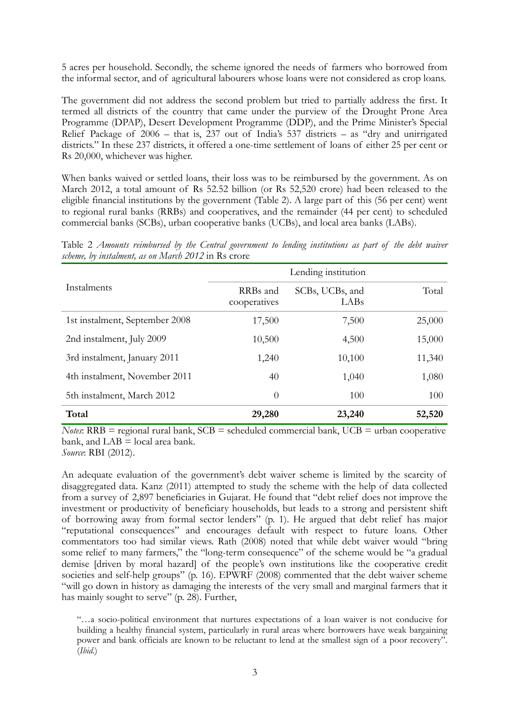5 acres per household. Secondly, the scheme ignored the needs of farmers who borrowed from the informal sector, and of agricultural labourers whose loans were not considered as crop loans.

The government did not address the second problem but tried to partially address the first. It termed all districts of the country that came under the purview of the Drought Prone Area Programme (DPAP), Desert Development Programme (DDP), and the Prime Minister's Special Relief Package of 2006 – that is, 237 out of India's 537 districts – as "dry and unirrigated districts." In these 237 districts, it offered a one-time settlement of loans of either 25 per cent or Rs 20,000, whichever was higher.

When banks waived or settled loans, their loss was to be reimbursed by the government. As on March 2012, a total amount of Rs 52.52 billion (or Rs 52,520 crore) had been released to the eligible financial institutions by the government (Table 2). A large part of this (56 per cent) went to regional rural banks (RRBs) and cooperatives, and the remainder (44 per cent) to scheduled commercial banks (SCBs), urban cooperative banks (UCBs), and local area banks (LABs).

Table 2 *Amounts reimbursed by the Central government to lending institutions as part of the debt waiver scheme, by instalment, as on March 2012* in Rs crore

|                                | Lending institution      |                         |        |
|--------------------------------|--------------------------|-------------------------|--------|
| Instalments                    | RRBs and<br>cooperatives | SCBs, UCBs, and<br>LABs | Total  |
| 1st instalment, September 2008 | 17,500                   | 7,500                   | 25,000 |
| 2nd instalment, July 2009      | 10,500                   | 4,500                   | 15,000 |
| 3rd instalment, January 2011   | 1,240                    | 10,100                  | 11,340 |
| 4th instalment, November 2011  | 40                       | 1,040                   | 1,080  |
| 5th instalment, March 2012     | $\theta$                 | 100                     | 100    |
| Total                          | 29,280                   | 23,240                  | 52,520 |

*Notes*:  $RRB =$  regional rural bank,  $SCB =$  scheduled commercial bank,  $UCB =$  urban cooperative bank, and LAB = local area bank.

*Source*: RBI (2012).

An adequate evaluation of the government's debt waiver scheme is limited by the scarcity of disaggregated data. Kanz (2011) attempted to study the scheme with the help of data collected from a survey of 2,897 beneficiaries in Gujarat. He found that "debt relief does not improve the investment or productivity of beneficiary households, but leads to a strong and persistent shift of borrowing away from formal sector lenders" (p. 1). He argued that debt relief has major "reputational consequences" and encourages default with respect to future loans. Other commentators too had similar views. Rath (2008) noted that while debt waiver would "bring some relief to many farmers," the "long-term consequence" of the scheme would be "a gradual demise [driven by moral hazard] of the people's own institutions like the cooperative credit societies and self-help groups" (p. 16). EPWRF (2008) commented that the debt waiver scheme "will go down in history as damaging the interests of the very small and marginal farmers that it has mainly sought to serve" (p. 28). Further,

"…a socio-political environment that nurtures expectations of a loan waiver is not conducive for building a healthy financial system, particularly in rural areas where borrowers have weak bargaining power and bank officials are known to be reluctant to lend at the smallest sign of a poor recovery". (*Ibid.*)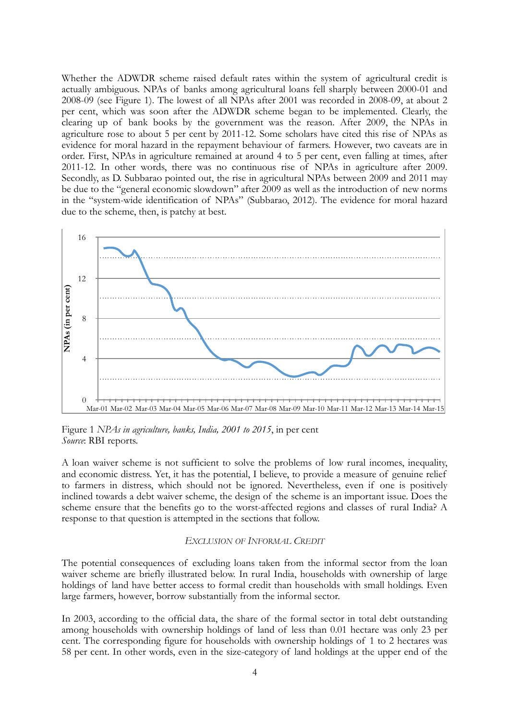Whether the ADWDR scheme raised default rates within the system of agricultural credit is actually ambiguous. NPAs of banks among agricultural loans fell sharply between 2000-01 and 2008-09 (see Figure 1). The lowest of all NPAs after 2001 was recorded in 2008-09, at about 2 per cent, which was soon after the ADWDR scheme began to be implemented. Clearly, the clearing up of bank books by the government was the reason. After 2009, the NPAs in agriculture rose to about 5 per cent by 2011-12. Some scholars have cited this rise of NPAs as evidence for moral hazard in the repayment behaviour of farmers. However, two caveats are in order. First, NPAs in agriculture remained at around 4 to 5 per cent, even falling at times, after 2011-12. In other words, there was no continuous rise of NPAs in agriculture after 2009. Secondly, as D. Subbarao pointed out, the rise in agricultural NPAs between 2009 and 2011 may be due to the "general economic slowdown" after 2009 as well as the introduction of new norms in the "system-wide identification of NPAs" (Subbarao, 2012). The evidence for moral hazard due to the scheme, then, is patchy at best.



Figure 1 *NPAs in agriculture, banks, India, 2001 to 2015*, in per cent *Source*: RBI reports.

A loan waiver scheme is not sufficient to solve the problems of low rural incomes, inequality, and economic distress. Yet, it has the potential, I believe, to provide a measure of genuine relief to farmers in distress, which should not be ignored. Nevertheless, even if one is positively inclined towards a debt waiver scheme, the design of the scheme is an important issue. Does the scheme ensure that the benefits go to the worst-affected regions and classes of rural India? A response to that question is attempted in the sections that follow.

### *EXCLUSION OF INFORMAL CREDIT*

The potential consequences of excluding loans taken from the informal sector from the loan waiver scheme are briefly illustrated below. In rural India, households with ownership of large holdings of land have better access to formal credit than households with small holdings. Even large farmers, however, borrow substantially from the informal sector.

In 2003, according to the official data, the share of the formal sector in total debt outstanding among households with ownership holdings of land of less than 0.01 hectare was only 23 per cent. The corresponding figure for households with ownership holdings of 1 to 2 hectares was 58 per cent. In other words, even in the size-category of land holdings at the upper end of the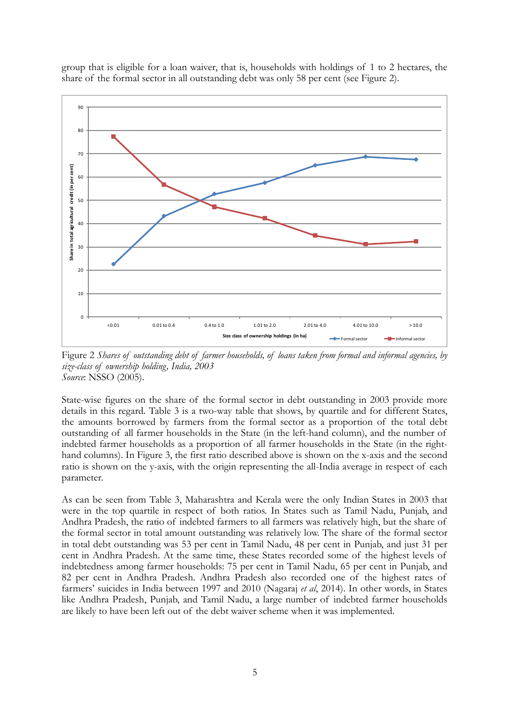group that is eligible for a loan waiver, that is, households with holdings of 1 to 2 hectares, the share of the formal sector in all outstanding debt was only 58 per cent (see Figure 2).



Figure 2 *Shares of outstanding debt of farmer households, of loans taken from formal and informal agencies, by size-class of ownership holding, India, 2003 Source*: NSSO (2005).

State-wise figures on the share of the formal sector in debt outstanding in 2003 provide more details in this regard. Table 3 is a two-way table that shows, by quartile and for different States, the amounts borrowed by farmers from the formal sector as a proportion of the total debt outstanding of all farmer households in the State (in the left-hand column), and the number of indebted farmer households as a proportion of all farmer households in the State (in the righthand columns). In Figure 3, the first ratio described above is shown on the x-axis and the second ratio is shown on the y-axis, with the origin representing the all-India average in respect of each parameter.

As can be seen from Table 3, Maharashtra and Kerala were the only Indian States in 2003 that were in the top quartile in respect of both ratios. In States such as Tamil Nadu, Punjab, and Andhra Pradesh, the ratio of indebted farmers to all farmers was relatively high, but the share of the formal sector in total amount outstanding was relatively low. The share of the formal sector in total debt outstanding was 53 per cent in Tamil Nadu, 48 per cent in Punjab, and just 31 per cent in Andhra Pradesh. At the same time, these States recorded some of the highest levels of indebtedness among farmer households: 75 per cent in Tamil Nadu, 65 per cent in Punjab, and 82 per cent in Andhra Pradesh. Andhra Pradesh also recorded one of the highest rates of farmers' suicides in India between 1997 and 2010 (Nagaraj *et al*, 2014). In other words, in States like Andhra Pradesh, Punjab, and Tamil Nadu, a large number of indebted farmer households are likely to have been left out of the debt waiver scheme when it was implemented.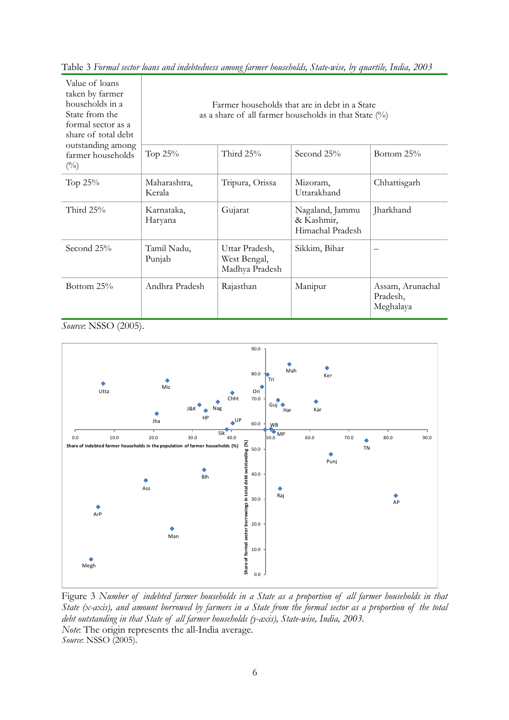| Value of loans<br>taken by farmer<br>households in a<br>State from the<br>formal sector as a<br>share of total debt<br>outstanding among<br>farmer households<br>$\binom{0}{0}$ | Farmer households that are in debt in a State<br>as a share of all farmer households in that State $(\%)$ |                                                  |                                                   |                                           |
|---------------------------------------------------------------------------------------------------------------------------------------------------------------------------------|-----------------------------------------------------------------------------------------------------------|--------------------------------------------------|---------------------------------------------------|-------------------------------------------|
|                                                                                                                                                                                 | Тор 25%                                                                                                   | Third $25%$                                      | Second 25%                                        | Bottom 25%                                |
| Тор 25%                                                                                                                                                                         | Maharashtra,<br>Kerala                                                                                    | Tripura, Orissa                                  | Mizoram,<br>Uttarakhand                           | Chhattisgarh                              |
| Third $25\%$                                                                                                                                                                    | Karnataka,<br>Haryana                                                                                     | Gujarat                                          | Nagaland, Jammu<br>& Kashmir,<br>Himachal Pradesh | Jharkhand                                 |
| Second 25%                                                                                                                                                                      | Tamil Nadu,<br>Punjab                                                                                     | Uttar Pradesh,<br>West Bengal,<br>Madhya Pradesh | Sikkim, Bihar                                     |                                           |
| Bottom 25%                                                                                                                                                                      | Andhra Pradesh                                                                                            | Rajasthan                                        | Manipur                                           | Assam, Arunachal<br>Pradesh,<br>Meghalaya |

Table 3 *Formal sector loans and indebtedness among farmer households, State-wise, by quartile, India, 2003* 

*Source*: NSSO (2005).



Figure 3 *Number of indebted farmer households in a State as a proportion of all farmer households in that State (x-axis), and amount borrowed by farmers in a State from the formal sector as a proportion of the total debt outstanding in that State of all farmer households (y-axis), State-wise, India, 2003. Note*: The origin represents the all-India average. *Source*: NSSO (2005).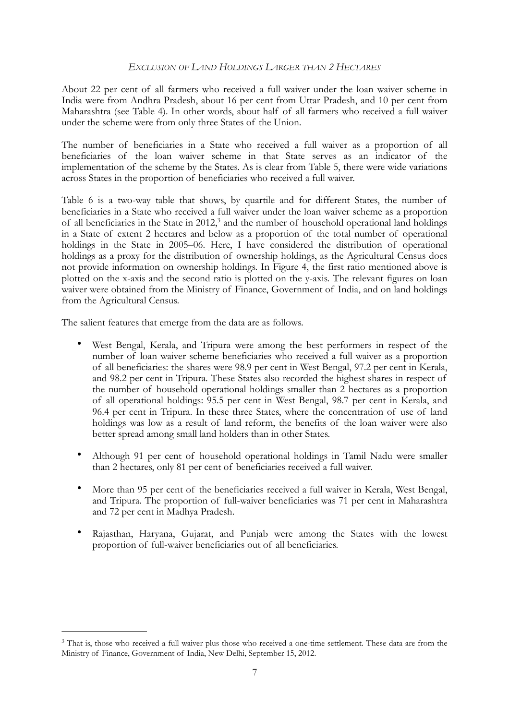# *EXCLUSION OF LAND HOLDINGS LARGER THAN 2 HECTARES*

About 22 per cent of all farmers who received a full waiver under the loan waiver scheme in India were from Andhra Pradesh, about 16 per cent from Uttar Pradesh, and 10 per cent from Maharashtra (see Table 4). In other words, about half of all farmers who received a full waiver under the scheme were from only three States of the Union.

The number of beneficiaries in a State who received a full waiver as a proportion of all beneficiaries of the loan waiver scheme in that State serves as an indicator of the implementation of the scheme by the States. As is clear from Table 5, there were wide variations across States in the proportion of beneficiaries who received a full waiver.

<span id="page-6-1"></span>Table 6 is a two-way table that shows, by quartile and for different States, the number of beneficiaries in a State who received a full waiver under the loan waiver scheme as a proportion of all beneficiaries in the State in 2012,<sup>[3](#page-6-0)</sup> and the number of household operational land holdings in a State of extent 2 hectares and below as a proportion of the total number of operational holdings in the State in 2005–06. Here, I have considered the distribution of operational holdings as a proxy for the distribution of ownership holdings, as the Agricultural Census does not provide information on ownership holdings. In Figure 4, the first ratio mentioned above is plotted on the x-axis and the second ratio is plotted on the y-axis. The relevant figures on loan waiver were obtained from the Ministry of Finance, Government of India, and on land holdings from the Agricultural Census.

The salient features that emerge from the data are as follows.

- West Bengal, Kerala, and Tripura were among the best performers in respect of the number of loan waiver scheme beneficiaries who received a full waiver as a proportion of all beneficiaries: the shares were 98.9 per cent in West Bengal, 97.2 per cent in Kerala, and 98.2 per cent in Tripura. These States also recorded the highest shares in respect of the number of household operational holdings smaller than 2 hectares as a proportion of all operational holdings: 95.5 per cent in West Bengal, 98.7 per cent in Kerala, and 96.4 per cent in Tripura. In these three States, where the concentration of use of land holdings was low as a result of land reform, the benefits of the loan waiver were also better spread among small land holders than in other States.
- Although 91 per cent of household operational holdings in Tamil Nadu were smaller than 2 hectares, only 81 per cent of beneficiaries received a full waiver.
- More than 95 per cent of the beneficiaries received a full waiver in Kerala, West Bengal, and Tripura. The proportion of full-waiver beneficiaries was 71 per cent in Maharashtra and 72 per cent in Madhya Pradesh.
- Rajasthan, Haryana, Gujarat, and Punjab were among the States with the lowest proportion of full-waiver beneficiaries out of all beneficiaries.

<span id="page-6-0"></span><sup>&</sup>lt;sup>[3](#page-6-1)</sup> That is, those who received a full waiver plus those who received a one-time settlement. These data are from the Ministry of Finance, Government of India, New Delhi, September 15, 2012.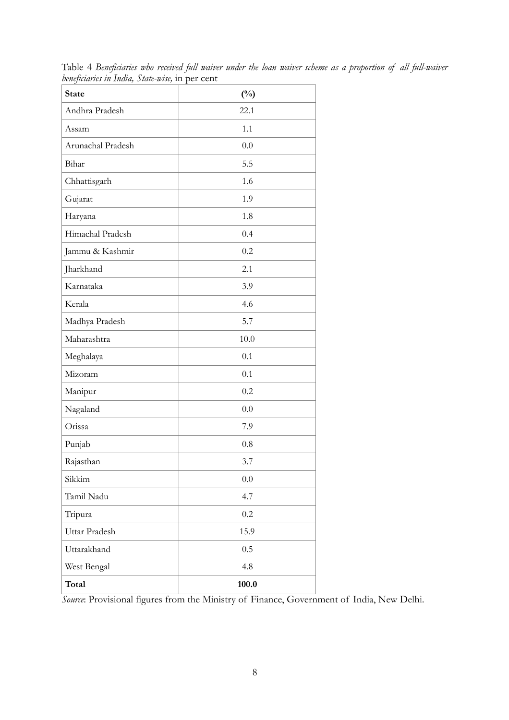| <b>State</b>      | $(^{0}_{0})$ |  |  |
|-------------------|--------------|--|--|
| Andhra Pradesh    | 22.1         |  |  |
| Assam             | 1.1          |  |  |
| Arunachal Pradesh | 0.0          |  |  |
| Bihar             | 5.5          |  |  |
| Chhattisgarh      | 1.6          |  |  |
| Gujarat           | 1.9          |  |  |
| Haryana           | 1.8          |  |  |
| Himachal Pradesh  | 0.4          |  |  |
| Jammu & Kashmir   | 0.2          |  |  |
| Jharkhand         | 2.1          |  |  |
| Karnataka         | 3.9          |  |  |
| Kerala            | 4.6          |  |  |
| Madhya Pradesh    | 5.7          |  |  |
| Maharashtra       | 10.0         |  |  |
| Meghalaya         | 0.1          |  |  |
| Mizoram           | 0.1          |  |  |
| Manipur           | 0.2          |  |  |
| Nagaland          | 0.0          |  |  |
| Orissa            | 7.9          |  |  |
| Punjab            | 0.8          |  |  |
| Rajasthan         | 3.7          |  |  |
| Sikkim            | $0.0\,$      |  |  |
| Tamil Nadu        | 4.7          |  |  |
| Tripura           | 0.2          |  |  |
| Uttar Pradesh     | 15.9         |  |  |
| Uttarakhand       | 0.5          |  |  |
| West Bengal       | 4.8          |  |  |
| Total             | 100.0        |  |  |

Table 4 *Beneficiaries who received full waiver under the loan waiver scheme as a proportion of all full-waiver beneficiaries in India, State-wise,* in per cent

*Source*: Provisional figures from the Ministry of Finance, Government of India, New Delhi.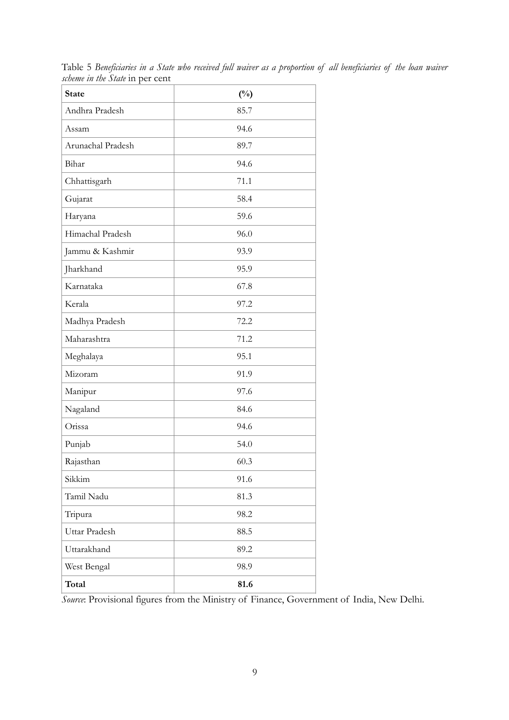| <b>State</b>      | $(^{0}/_{0})$ |
|-------------------|---------------|
| Andhra Pradesh    | 85.7          |
| Assam             | 94.6          |
| Arunachal Pradesh | 89.7          |
| Bihar             | 94.6          |
| Chhattisgarh      | 71.1          |
| Gujarat           | 58.4          |
| Haryana           | 59.6          |
| Himachal Pradesh  | 96.0          |
| Jammu & Kashmir   | 93.9          |
| Jharkhand         | 95.9          |
| Karnataka         | 67.8          |
| Kerala            | 97.2          |
| Madhya Pradesh    | 72.2          |
| Maharashtra       | 71.2          |
| Meghalaya         | 95.1          |
| Mizoram           | 91.9          |
| Manipur           | 97.6          |
| Nagaland          | 84.6          |
| Orissa            | 94.6          |
| Punjab            | 54.0          |
| Rajasthan         | 60.3          |
| Sikkim            | 91.6          |
| Tamil Nadu        | 81.3          |
| Tripura           | 98.2          |
| Uttar Pradesh     | 88.5          |
| Uttarakhand       | 89.2          |
| West Bengal       | 98.9          |
| Total             | 81.6          |

Table 5 *Beneficiaries in a State who received full waiver as a proportion of all beneficiaries of the loan waiver scheme in the State* in per cent

*Source*: Provisional figures from the Ministry of Finance, Government of India, New Delhi.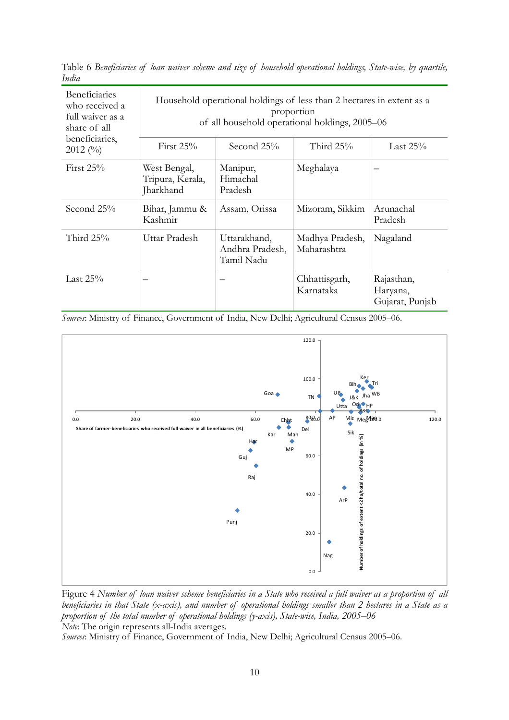| <b>Beneficiaries</b><br>who received a<br>full waiver as a<br>share of all<br>beneficiaries,<br>$2012~(^{0}/_{0})$ | Household operational holdings of less than 2 hectares in extent as a<br>proportion<br>of all household operational holdings, 2005–06<br>Third $25%$<br>First $25%$<br>Second 25%<br>Last $25%$ |                                               |                                |                                           |
|--------------------------------------------------------------------------------------------------------------------|-------------------------------------------------------------------------------------------------------------------------------------------------------------------------------------------------|-----------------------------------------------|--------------------------------|-------------------------------------------|
| First $25%$                                                                                                        | West Bengal,<br>Tripura, Kerala,<br>Jharkhand                                                                                                                                                   | Manipur,<br>Himachal<br>Pradesh               | Meghalaya                      |                                           |
| Second 25%                                                                                                         | Bihar, Jammu &<br>Kashmir                                                                                                                                                                       | Assam, Orissa                                 | Mizoram, Sikkim                | Arunachal<br>Pradesh                      |
| Third 25%                                                                                                          | Uttar Pradesh                                                                                                                                                                                   | Uttarakhand,<br>Andhra Pradesh,<br>Tamil Nadu | Madhya Pradesh,<br>Maharashtra | Nagaland                                  |
| Last $25%$                                                                                                         |                                                                                                                                                                                                 |                                               | Chhattisgarh,<br>Karnataka     | Rajasthan,<br>Haryana,<br>Gujarat, Punjab |

Table 6 *Beneficiaries of loan waiver scheme and size of household operational holdings, State-wise, by quartile, India* 

*Sources*: Ministry of Finance, Government of India, New Delhi; Agricultural Census 2005–06.



Figure 4 *Number of loan waiver scheme beneficiaries in a State who received a full waiver as a proportion of all beneficiaries in that State (x-axis), and number of operational holdings smaller than 2 hectares in a State as a proportion of the total number of operational holdings (y-axis), State-wise, India, 2005–06 Note*: The origin represents all-India averages.

*Sources*: Ministry of Finance, Government of India, New Delhi; Agricultural Census 2005–06.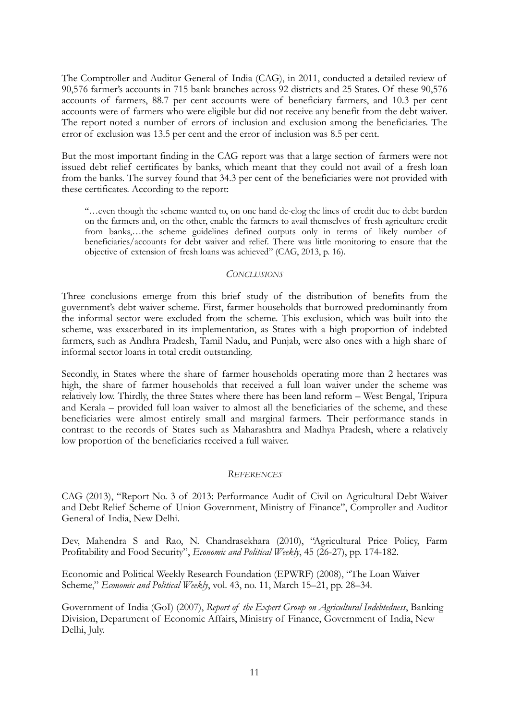The Comptroller and Auditor General of India (CAG), in 2011, conducted a detailed review of 90,576 farmer's accounts in 715 bank branches across 92 districts and 25 States. Of these 90,576 accounts of farmers, 88.7 per cent accounts were of beneficiary farmers, and 10.3 per cent accounts were of farmers who were eligible but did not receive any benefit from the debt waiver. The report noted a number of errors of inclusion and exclusion among the beneficiaries. The error of exclusion was 13.5 per cent and the error of inclusion was 8.5 per cent.

But the most important finding in the CAG report was that a large section of farmers were not issued debt relief certificates by banks, which meant that they could not avail of a fresh loan from the banks. The survey found that 34.3 per cent of the beneficiaries were not provided with these certificates. According to the report:

"…even though the scheme wanted to, on one hand de-clog the lines of credit due to debt burden on the farmers and, on the other, enable the farmers to avail themselves of fresh agriculture credit from banks,…the scheme guidelines defined outputs only in terms of likely number of beneficiaries/accounts for debt waiver and relief. There was little monitoring to ensure that the objective of extension of fresh loans was achieved" (CAG, 2013, p. 16).

### *CONCLUSIONS*

Three conclusions emerge from this brief study of the distribution of benefits from the government's debt waiver scheme. First, farmer households that borrowed predominantly from the informal sector were excluded from the scheme. This exclusion, which was built into the scheme, was exacerbated in its implementation, as States with a high proportion of indebted farmers, such as Andhra Pradesh, Tamil Nadu, and Punjab, were also ones with a high share of informal sector loans in total credit outstanding.

Secondly, in States where the share of farmer households operating more than 2 hectares was high, the share of farmer households that received a full loan waiver under the scheme was relatively low. Thirdly, the three States where there has been land reform – West Bengal, Tripura and Kerala – provided full loan waiver to almost all the beneficiaries of the scheme, and these beneficiaries were almost entirely small and marginal farmers. Their performance stands in contrast to the records of States such as Maharashtra and Madhya Pradesh, where a relatively low proportion of the beneficiaries received a full waiver.

## *REFERENCES*

CAG (2013), "Report No. 3 of 2013: Performance Audit of Civil on Agricultural Debt Waiver and Debt Relief Scheme of Union Government, Ministry of Finance", Comproller and Auditor General of India, New Delhi.

Dev, Mahendra S and Rao, N. Chandrasekhara (2010), "Agricultural Price Policy, Farm Profitability and Food Security", *Economic and Political Weekly*, 45 (26-27), pp. 174-182.

Economic and Political Weekly Research Foundation (EPWRF) (2008), "The Loan Waiver Scheme," *Economic and Political Weekly*, vol. 43, no. 11, March 15–21, pp. 28–34.

Government of India (GoI) (2007), *Report of the Expert Group on Agricultural Indebtedness*, Banking Division, Department of Economic Affairs, Ministry of Finance, Government of India, New Delhi, July.